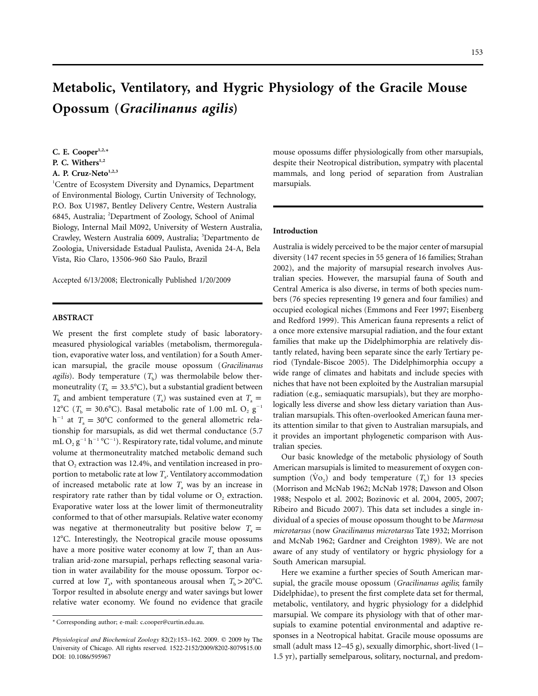153

# **Metabolic, Ventilatory, and Hygric Physiology of the Gracile Mouse Opossum (***Gracilinanus agilis***)**

# C. E. Cooper<sup>1,2,\*</sup> P. C. Withers<sup>1,2</sup> A. P. Cruz-Neto<sup>1,2,3</sup>

1 Centre of Ecosystem Diversity and Dynamics, Department of Environmental Biology, Curtin University of Technology, P.O. Box U1987, Bentley Delivery Centre, Western Australia 6845, Australia; <sup>2</sup>Department of Zoology, School of Animal Biology, Internal Mail M092, University of Western Australia, Crawley, Western Australia 6009, Australia; <sup>3</sup>Departmento de Zoologia, Universidade Estadual Paulista, Avenida 24-A, Bela Vista, Rio Claro, 13506-960 São Paulo, Brazil

Accepted 6/13/2008; Electronically Published 1/20/2009

# **ABSTRACT**

We present the first complete study of basic laboratorymeasured physiological variables (metabolism, thermoregulation, evaporative water loss, and ventilation) for a South American marsupial, the gracile mouse opossum (*Gracilinanus agilis*). Body temperature  $(T<sub>b</sub>)$  was thermolabile below thermoneutrality ( $T<sub>b</sub> = 33.5$ °C), but a substantial gradient between  $T<sub>b</sub>$  and ambient temperature  $(T<sub>a</sub>)$  was sustained even at  $T<sub>a</sub>$  = 12°C ( $T_b = 30.6$ °C). Basal metabolic rate of 1.00 mL O<sub>2</sub> g<sup>-1</sup>  $h^{-1}$  at  $T_a = 30^{\circ}$ C conformed to the general allometric relationship for marsupials, as did wet thermal conductance (5.7 mL  $O_2$   $g^{-1}$   $h^{-1}$   $^{\circ}$ C<sup>-1</sup>). Respiratory rate, tidal volume, and minute volume at thermoneutrality matched metabolic demand such that  $O<sub>2</sub>$  extraction was 12.4%, and ventilation increased in proportion to metabolic rate at low  $T_a$ . Ventilatory accommodation of increased metabolic rate at low  $T<sub>a</sub>$  was by an increase in respiratory rate rather than by tidal volume or  $O_2$  extraction. Evaporative water loss at the lower limit of thermoneutrality conformed to that of other marsupials. Relative water economy was negative at thermoneutrality but positive below  $T_a =$ 12°C. Interestingly, the Neotropical gracile mouse opossums have a more positive water economy at low  $T_a$  than an Australian arid-zone marsupial, perhaps reflecting seasonal variation in water availability for the mouse opossum. Torpor occurred at low  $T_a$ , with spontaneous arousal when  $T_b > 20^{\circ}$ C. Torpor resulted in absolute energy and water savings but lower relative water economy. We found no evidence that gracile mouse opossums differ physiologically from other marsupials, despite their Neotropical distribution, sympatry with placental mammals, and long period of separation from Australian marsupials.

# **Introduction**

Australia is widely perceived to be the major center of marsupial diversity (147 recent species in 55 genera of 16 families; Strahan 2002), and the majority of marsupial research involves Australian species. However, the marsupial fauna of South and Central America is also diverse, in terms of both species numbers (76 species representing 19 genera and four families) and occupied ecological niches (Emmons and Feer 1997; Eisenberg and Redford 1999). This American fauna represents a relict of a once more extensive marsupial radiation, and the four extant families that make up the Didelphimorphia are relatively distantly related, having been separate since the early Tertiary period (Tyndale-Biscoe 2005). The Didelphimorphia occupy a wide range of climates and habitats and include species with niches that have not been exploited by the Australian marsupial radiation (e.g., semiaquatic marsupials), but they are morphologically less diverse and show less dietary variation than Australian marsupials. This often-overlooked American fauna merits attention similar to that given to Australian marsupials, and it provides an important phylogenetic comparison with Australian species.

Our basic knowledge of the metabolic physiology of South American marsupials is limited to measurement of oxygen consumption ( $\dot{V}$ o<sub>2</sub>) and body temperature ( $T<sub>b</sub>$ ) for 13 species (Morrison and McNab 1962; McNab 1978; Dawson and Olson 1988; Nespolo et al. 2002; Bozinovic et al. 2004, 2005, 2007; Ribeiro and Bicudo 2007). This data set includes a single individual of a species of mouse opossum thought to be *Marmosa microtarsus* (now *Gracilinanus microtarsus* Tate 1932; Morrison and McNab 1962; Gardner and Creighton 1989). We are not aware of any study of ventilatory or hygric physiology for a South American marsupial.

Here we examine a further species of South American marsupial, the gracile mouse opossum (*Gracilinanus agilis*; family Didelphidae), to present the first complete data set for thermal, metabolic, ventilatory, and hygric physiology for a didelphid marsupial. We compare its physiology with that of other marsupials to examine potential environmental and adaptive responses in a Neotropical habitat. Gracile mouse opossums are small (adult mass 12–45 g), sexually dimorphic, short-lived (1– 1.5 yr), partially semelparous, solitary, nocturnal, and predom-

<sup>\*</sup> Corresponding author; e-mail: c.cooper@curtin.edu.au.

*Physiological and Biochemical Zoology* 82(2):153-162. 2009. © 2009 by The University of Chicago. All rights reserved. 1522-2152/2009/8202-8079\$15.00 DOI: 10.1086/595967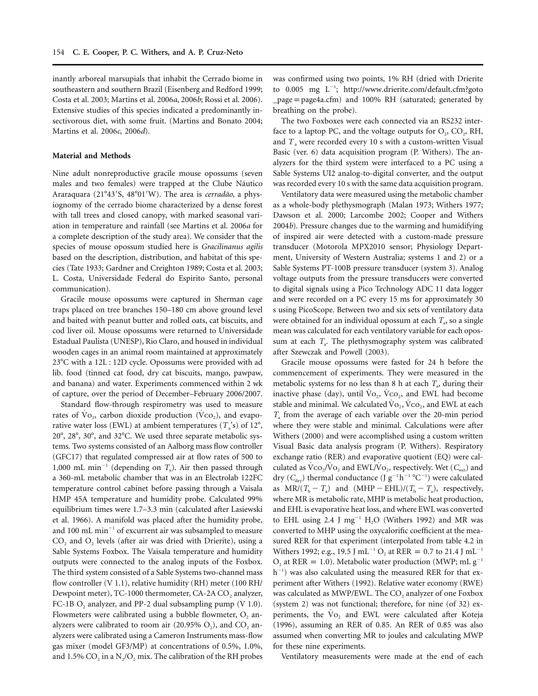inantly arboreal marsupials that inhabit the Cerrado biome in southeastern and southern Brazil (Eisenberg and Redford 1999; Costa et al. 2003; Martins et al. 2006*a*, 2006*b*; Rossi et al. 2006). Extensive studies of this species indicated a predominantly insectivorous diet, with some fruit. (Martins and Bonato 2004; Martins et al. 2006*c*, 2006*d*).

## **Material and Methods**

Nine adult nonreproductive gracile mouse opossums (seven males and two females) were trapped at the Clube Náutico Araraquara (21°43'S, 48°01'W). The area is *cerradão*, a physiognomy of the cerrado biome characterized by a dense forest with tall trees and closed canopy, with marked seasonal variation in temperature and rainfall (see Martins et al. 2006*a* for a complete description of the study area). We consider that the species of mouse opossum studied here is *Gracilinanus agilis* based on the description, distribution, and habitat of this species (Tate 1933; Gardner and Creighton 1989; Costa et al. 2003; L. Costa, Universidade Federal do Espirito Santo, personal communication).

Gracile mouse opossums were captured in Sherman cage traps placed on tree branches 150–180 cm above ground level and baited with peanut butter and rolled oats, cat biscuits, and cod liver oil. Mouse opossums were returned to Universidade Estadual Paulista (UNESP), Rio Claro, and housed in individual wooden cages in an animal room maintained at approximately 23°C with a 12L : 12D cycle. Opossums were provided with ad lib. food (tinned cat food, dry cat biscuits, mango, pawpaw, and banana) and water. Experiments commenced within 2 wk of capture, over the period of December–February 2006/2007.

Standard flow-through respirometry was used to measure rates of  $\mathrm{Vo}_2$ , carbon dioxide production ( $\mathrm{Vco}_2$ ), and evaporative water loss (EWL) at ambient temperatures  $(T_a^s)$  of  $12^\circ$ , 20°, 28°, 30°, and 32°C. We used three separate metabolic systems. Two systems consisted of an Aalborg mass flow controller (GFC17) that regulated compressed air at flow rates of 500 to 1,000 mL min<sup>-1</sup> (depending on  $T_a$ ). Air then passed through a 360-mL metabolic chamber that was in an Electrolab 122FC temperature control cabinet before passing through a Vaisala HMP 45A temperature and humidity probe. Calculated 99% equilibrium times were 1.7–3.3 min (calculated after Lasiewski et al. 1966). A manifold was placed after the humidity probe, and 100 mL min<sup>-1</sup> of excurrent air was subsampled to measure  $CO<sub>2</sub>$  and  $O<sub>2</sub>$  levels (after air was dried with Drierite), using a Sable Systems Foxbox. The Vaisala temperature and humidity outputs were connected to the analog inputs of the Foxbox. The third system consisted of a Sable Systems two-channel mass flow controller (V 1.1), relative humidity (RH) meter (100 RH/ Dewpoint meter), TC-1000 thermometer, CA-2A  $CO<sub>2</sub>$  analyzer, FC-1B  $O_2$  analyzer, and PP-2 dual subsampling pump (V 1.0). Flowmeters were calibrated using a bubble flowmeter,  $O<sub>2</sub>$  analyzers were calibrated to room air  $(20.95\% \text{ O}_2)$ , and CO<sub>2</sub> analyzers were calibrated using a Cameron Instruments mass-flow gas mixer (model GF3/MP) at concentrations of 0.5%, 1.0%, and 1.5%  $CO<sub>2</sub>$  in a N<sub>2</sub>/O<sub>2</sub> mix. The calibration of the RH probes

was confirmed using two points, 1% RH (dried with Drierite to 0.005 mg L<sup>-1</sup>; http://www.drierite.com/default.cfm?goto  $-page = page4a.cfm$ ) and 100% RH (saturated; generated by breathing on the probe).

The two Foxboxes were each connected via an RS232 interface to a laptop PC, and the voltage outputs for  $O_2$ ,  $CO_2$ , RH, and  $T_a$  were recorded every 10 s with a custom-written Visual Basic (ver. 6) data acquisition program (P. Withers). The analyzers for the third system were interfaced to a PC using a Sable Systems UI2 analog-to-digital converter, and the output was recorded every 10 s with the same data acquisition program.

Ventilatory data were measured using the metabolic chamber as a whole-body plethysmograph (Malan 1973; Withers 1977; Dawson et al. 2000; Larcombe 2002; Cooper and Withers 2004*b*). Pressure changes due to the warming and humidifying of inspired air were detected with a custom-made pressure transducer (Motorola MPX2010 sensor; Physiology Department, University of Western Australia; systems 1 and 2) or a Sable Systems PT-100B pressure transducer (system 3). Analog voltage outputs from the pressure transducers were converted to digital signals using a Pico Technology ADC 11 data logger and were recorded on a PC every 15 ms for approximately 30 s using PicoScope. Between two and six sets of ventilatory data were obtained for an individual opossum at each  $T_a$ , so a single mean was calculated for each ventilatory variable for each opossum at each  $T_a$ . The plethysmography system was calibrated after Szewczak and Powell (2003).

Gracile mouse opossums were fasted for 24 h before the commencement of experiments. They were measured in the metabolic systems for no less than 8 h at each  $T_a$ , during their inactive phase (day), until  $Vo_2$ ,  $Vco_2$ , and EWL had become stable and minimal. We calculated  $\overline{Vo}_2$ ,  $\overline{Vco}_2$ , and EWL at each *T*<sup>a</sup> from the average of each variable over the 20-min period where they were stable and minimal. Calculations were after Withers (2000) and were accomplished using a custom written Visual Basic data analysis program (P. Withers). Respiratory exchange ratio (RER) and evaporative quotient (EQ) were calculated as  $\text{Vco}_2/\text{Vo}_2$  and EWL/V<sub>O2</sub>, respectively. Wet ( $C_{\text{wet}}$ ) and dry ( $C_{\text{dry}}$ ) thermal conductance (J  $g^{-1}h^{-1}$  °C<sup>-1</sup>) were calculated as  $MR/(T_b - T_a)$  and  $(MHP - EHL)/(T_b - T_a)$ , respectively, where MR is metabolic rate, MHP is metabolic heat production, and EHL is evaporative heat loss, and where EWL was converted to EHL using 2.4 J mg<sup>-1</sup> H<sub>2</sub>O (Withers 1992) and MR was converted to MHP using the oxycalorific coefficient at the measured RER for that experiment (interpolated from table 4.2 in Withers 1992; e.g., 19.5 J mL<sup>-1</sup> O<sub>2</sub> at RER = 0.7 to 21.4 J mL<sup>-1</sup>  $O_2$  at RER = 1.0). Metabolic water production (MWP; mL g<sup>-1</sup>)  $h^{-1}$ ) was also calculated using the measured RER for that experiment after Withers (1992). Relative water economy (RWE) was calculated as MWP/EWL. The CO<sub>2</sub> analyzer of one Foxbox (system 2) was not functional; therefore, for nine (of 32) experiments, the Vo<sub>2</sub> and EWL were calculated after Koteja (1996), assuming an RER of 0.85. An RER of 0.85 was also assumed when converting MR to joules and calculating MWP for these nine experiments.

Ventilatory measurements were made at the end of each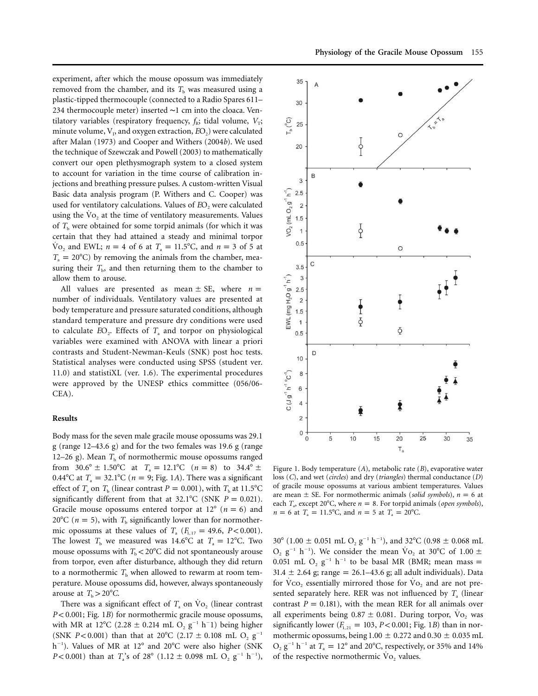experiment, after which the mouse opossum was immediately removed from the chamber, and its  $T<sub>b</sub>$  was measured using a plastic-tipped thermocouple (connected to a Radio Spares 611– 234 thermocouple meter) inserted ∼1 cm into the cloaca. Ventilatory variables (respiratory frequency,  $f_{\rm R}$ ; tidal volume,  $V_{\rm T}$ ; minute volume, V<sub>1</sub>, and oxygen extraction,  $EO_{2}$ ) were calculated after Malan (1973) and Cooper and Withers (2004*b*). We used the technique of Szewczak and Powell (2003) to mathematically convert our open plethysmograph system to a closed system to account for variation in the time course of calibration injections and breathing pressure pulses. A custom-written Visual Basic data analysis program (P. Withers and C. Cooper) was used for ventilatory calculations. Values of *E*O<sub>2</sub> were calculated using the Vo, at the time of ventilatory measurements. Values of  $T<sub>b</sub>$  were obtained for some torpid animals (for which it was certain that they had attained a steady and minimal torpor  $\text{Vo}_2$  and EWL;  $n = 4$  of 6 at  $T_a = 11.5^{\circ}$ C, and  $n = 3$  of 5 at  $T_a = 20^{\circ}$ C) by removing the animals from the chamber, measuring their  $T<sub>b</sub>$ , and then returning them to the chamber to allow them to arouse.

All values are presented as mean  $\pm$  SE, where  $n =$ number of individuals. Ventilatory values are presented at body temperature and pressure saturated conditions, although standard temperature and pressure dry conditions were used to calculate  $EO_2$ . Effects of  $T_a$  and torpor on physiological variables were examined with ANOVA with linear a priori contrasts and Student-Newman-Keuls (SNK) post hoc tests. Statistical analyses were conducted using SPSS (student ver. 11.0) and statistiXL (ver. 1.6). The experimental procedures were approved by the UNESP ethics committee (056/06- CEA).

## **Results**

Body mass for the seven male gracile mouse opossums was 29.1 g (range 12–43.6 g) and for the two females was 19.6 g (range 12–26 g). Mean  $T<sub>b</sub>$  of normothermic mouse opossums ranged from  $30.6^{\circ} \pm 1.50^{\circ}$ C at  $T_a = 12.1^{\circ}$ C  $(n = 8)$  to  $34.4^{\circ} \pm 1.50^{\circ}$ C  $0.44^{\circ}$ C at  $T_a = 32.1^{\circ}$ C ( $n = 9$ ; Fig. 1*A*). There was a significant effect of  $T_a$  on  $T_b$  (linear contrast  $P = 0.001$ ), with  $T_b$  at 11.5<sup>o</sup>C significantly different from that at  $32.1^{\circ}$ C (SNK  $P = 0.021$ ). Gracile mouse opossums entered torpor at  $12^{\circ}$  ( $n = 6$ ) and 20<sup>o</sup>C ( $n = 5$ ), with  $T<sub>b</sub>$  significantly lower than for normothermic opossums at these values of  $T_a$  ( $F_{1,17} = 49.6$ ,  $P < 0.001$ ). The lowest  $T<sub>b</sub>$  we measured was 14.6°C at  $T<sub>a</sub> = 12$ °C. Two mouse opossums with  $T<sub>b</sub> < 20^{\circ}$ C did not spontaneously arouse from torpor, even after disturbance, although they did return to a normothermic  $T<sub>b</sub>$  when allowed to rewarm at room temperature. Mouse opossums did, however, always spontaneously arouse at  $T_b > 20^{\circ}C$ .

There was a significant effect of  $T_a$  on  $\mathrm{Vo}_2$  (linear contrast  $P < 0.001$ ; Fig. 1*B*) for normothermic gracile mouse opossums, with MR at 12°C (2.28  $\pm$  0.214 mL O<sub>2</sub> g<sup>-1</sup> h<sup>-</sup>1) being higher (SNK  $P < 0.001$ ) than that at 20°C (2.17  $\pm$  0.108 mL O<sub>2</sub> g<sup>-1</sup> h<sup>-1</sup>). Values of MR at 12° and 20°C were also higher (SNK  $P < 0.001$ ) than at  $T_a$ 's of 28° (1.12 ± 0.098 mL O<sub>2</sub> g<sup>-1</sup> h<sup>-1</sup>),



Figure 1. Body temperature (*A*), metabolic rate (*B*), evaporative water loss (*C*), and wet (*circles*) and dry (*triangles*) thermal conductance (*D*) of gracile mouse opossums at various ambient temperatures. Values are mean  $\pm$  SE. For normothermic animals (*solid symbols*),  $n = 6$  at each  $T_a$ , except 20°C, where  $n = 8$ . For torpid animals (*open symbols*),  $n = 6$  at  $T_a = 11.5^{\circ}$ C, and  $n = 5$  at  $T_a = 20^{\circ}$ C.

30° (1.00  $\pm$  0.051 mL O<sub>2</sub> g<sup>-1</sup> h<sup>-1</sup>), and 32°C (0.98  $\pm$  0.068 mL  $O_2$  g<sup>-1</sup> h<sup>-1</sup>). We consider the mean  $\rm{Vo}_2$  at 30°C of 1.00  $\pm$ 0.051 mL O<sub>2</sub> g<sup>-1</sup> h<sup>-1</sup> to be basal MR (BMR; mean mass =  $31.4 \pm 2.64$  g; range = 26.1–43.6 g; all adult individuals). Data for  $VCO<sub>2</sub>$  essentially mirrored those for  $Vo<sub>2</sub>$  and are not presented separately here. RER was not influenced by  $T_a$  (linear contrast  $P = 0.181$ , with the mean RER for all animals over all experiments being  $0.87 \pm 0.081$ . During torpor, Vo<sub>2</sub> was significantly lower ( $F_{1,21} = 103$ ,  $P < 0.001$ ; Fig. 1*B*) than in normothermic opossums, being  $1.00 \pm 0.272$  and  $0.30 \pm 0.035$  mL  $O_2$   $g^{-1}$   $h^{-1}$  at  $T_a = 12^{\circ}$  and 20°C, respectively, or 35% and 14% of the respective normothermic  $\dot{V}o_2$  values.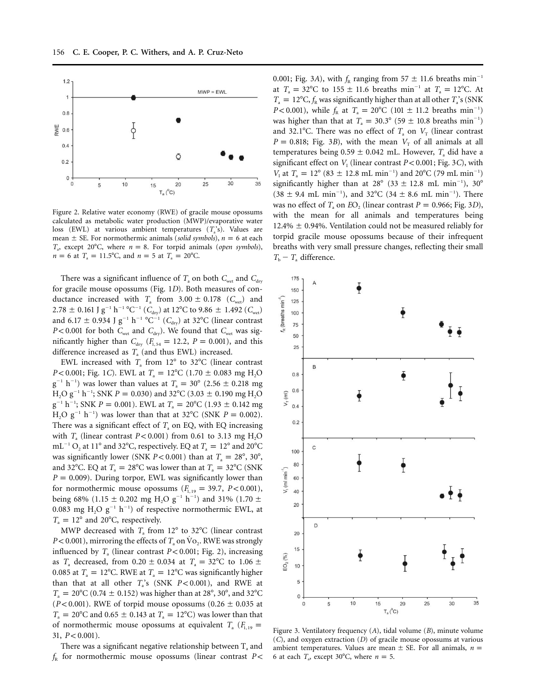

Figure 2. Relative water economy (RWE) of gracile mouse opossums calculated as metabolic water production (MWP)/evaporative water loss (EWL) at various ambient temperatures  $(T_a)$ 's). Values are mean  $\pm$  SE. For normothermic animals (*solid symbols*),  $n = 6$  at each  $T_a$ , except 20°C, where  $n = 8$ . For torpid animals (*open symbols*),  $n = 6$  at  $T_a = 11.5^{\circ}$ C, and  $n = 5$  at  $T_a = 20^{\circ}$ C.

There was a significant influence of  $T_a$  on both  $C_{wet}$  and  $C_{dry}$ for gracile mouse opossums (Fig. 1*D*). Both measures of conductance increased with  $T_a$  from  $3.00 \pm 0.178$  ( $C<sub>wet</sub>$ ) and  $2.78 \pm 0.161$  J g<sup>-1</sup> h<sup>-1</sup> °C<sup>-1</sup> (*C*<sub>dry</sub>) at 12°C to 9.86  $\pm$  1.492 (*C*<sub>wet</sub>) and 6.17  $\pm$  0.934 J g<sup>-1</sup> h<sup>-1</sup> °C<sup>-1</sup> (C<sub>dry</sub>) at 32°C (linear contrast  $P$ < 0.001 for both  $C_{\text{wet}}$  and  $C_{\text{dry}}$ ). We found that  $C_{\text{wet}}$  was significantly higher than  $C_{\text{dry}}$  ( $F_{1, 54} = 12.2$ ,  $P = 0.001$ ), and this difference increased as  $T_a$  (and thus EWL) increased.

EWL increased with  $T_a$  from 12 $\degree$  to 32 $\degree$ C (linear contrast *P* < 0.001; Fig. 1*C*). EWL at  $T_a = 12^{\circ}$ C (1.70  $\pm$  0.083 mg H<sub>2</sub>O  $g^{-1}$  h<sup>-1</sup>) was lower than values at  $T_a = 30^{\circ}$  (2.56  $\pm$  0.218 mg  $H_2O g^{-1} h^{-1}$ ; SNK  $P = 0.030$ ) and 32°C (3.03  $\pm$  0.190 mg H<sub>2</sub>O  $g^{-1}$  h<sup>-1</sup>; SNK *P* = 0.001). EWL at *T*<sub>a</sub> = 20°C (1.93  $\pm$  0.142 mg  $H_2O g^{-1} h^{-1}$  was lower than that at 32°C (SNK  $P = 0.002$ ). There was a significant effect of  $T_a$  on EQ, with EQ increasing with  $T_a$  (linear contrast  $P < 0.001$ ) from 0.61 to 3.13 mg H<sub>2</sub>O  $mL^{-1} O_2$  at 11<sup>°</sup> and 32<sup>°</sup>C, respectively. EQ at  $T_a = 12^{\circ}$  and 20<sup>°</sup>C was significantly lower (SNK  $P < 0.001$ ) than at  $T_a = 28^\circ, 30^\circ$ , and 32°C. EQ at  $T_a = 28$ °C was lower than at  $T_a = 32$ °C (SNK  $P = 0.009$ ). During torpor, EWL was significantly lower than for normothermic mouse opossums  $(F_{1, 19} = 39.7, P < 0.001)$ , being 68% (1.15  $\pm$  0.202 mg H<sub>2</sub>O g<sup>-1</sup> h<sup>-1</sup>) and 31% (1.70  $\pm$ 0.083 mg H<sub>2</sub>O g<sup>-1</sup> h<sup>-1</sup>) of respective normothermic EWL, at  $T_a = 12^\circ$  and 20°C, respectively.

MWP decreased with  $T_a$  from 12 $\degree$  to 32 $\degree$ C (linear contrast  $P$  < 0.001), mirroring the effects of  $T_a$  on  $Vo_2$ . RWE was strongly influenced by  $T_a$  (linear contrast  $P < 0.001$ ; Fig. 2), increasing as  $T_a$  decreased, from  $0.20 \pm 0.034$  at  $T_a = 32^{\circ}$ C to  $1.06 \pm 0.034$ 0.085 at  $T_a = 12$ °C. RWE at  $T_a = 12$ °C was significantly higher than that at all other  $T_a$ 's (SNK  $P < 0.001$ ), and RWE at  $T_{\rm a} = 20^{\circ}$ C (0.74  $\pm$  0.152) was higher than at 28°, 30°, and 32°C ( $P < 0.001$ ). RWE of torpid mouse opossums ( $0.26 \pm 0.035$  at  $T_{\rm a} = 20^{\circ}$ C and 0.65  $\pm$  0.143 at  $T_{\rm a} = 12^{\circ}$ C) was lower than that of normothermic mouse opossums at equivalent  $T_a$  ( $F_{1,19}$  =  $31, P < 0.001$ ).

There was a significant negative relationship between  $T_a$  and  $f_{R}$  for normothermic mouse opossums (linear contrast  $P$  < 0.001; Fig. 3*A*), with  $f<sub>R</sub>$  ranging from 57  $\pm$  11.6 breaths min<sup>-1</sup> at  $T_a = 32^{\circ}$ C to 155  $\pm$  11.6 breaths min<sup>-1</sup> at  $T_a = 12^{\circ}$ C. At  $T_a = 12^{\circ}$ C,  $f_R$  was significantly higher than at all other  $T_a$ 's (SNK  $P < 0.001$ ), while  $f_R$  at  $T_a = 20^{\circ}$ C (101  $\pm$  11.2 breaths min<sup>-1</sup>) was higher than that at  $T_a = 30.3^\circ (59 \pm 10.8 \text{ breaths min}^{-1})$ and 32.1°C. There was no effect of  $T_a$  on  $V_T$  (linear contrast  $P = 0.818$ ; Fig. 3*B*), with the mean  $V<sub>T</sub>$  of all animals at all temperatures being  $0.59 \pm 0.042$  mL. However,  $T_a$  did have a significant effect on  $V_I$  (linear contrast  $P < 0.001$ ; Fig. 3C), with  $V_1$  at  $T_a = 12^{\circ}$  (83  $\pm$  12.8 mL min<sup>-1</sup>) and 20°C (79 mL min<sup>-1</sup>) significantly higher than at  $28^{\circ}$  (33  $\pm$  12.8 mL min<sup>-1</sup>), 30°  $(38 \pm 9.4 \text{ mL min}^{-1})$ , and  $32^{\circ}$ C  $(34 \pm 8.6 \text{ mL min}^{-1})$ . There was no effect of  $T_a$  on  $EO_2$  (linear contrast  $P = 0.966$ ; Fig. 3D), with the mean for all animals and temperatures being 12.4%  $\pm$  0.94%. Ventilation could not be measured reliably for torpid gracile mouse opossums because of their infrequent breaths with very small pressure changes, reflecting their small  $T<sub>b</sub> - T<sub>a</sub>$  difference.



Figure 3. Ventilatory frequency (*A*), tidal volume (*B*), minute volume (*C*), and oxygen extraction (*D*) of gracile mouse opossums at various ambient temperatures. Values are mean  $\pm$  SE. For all animals,  $n =$ 6 at each  $T_a$ , except 30°C, where  $n = 5$ .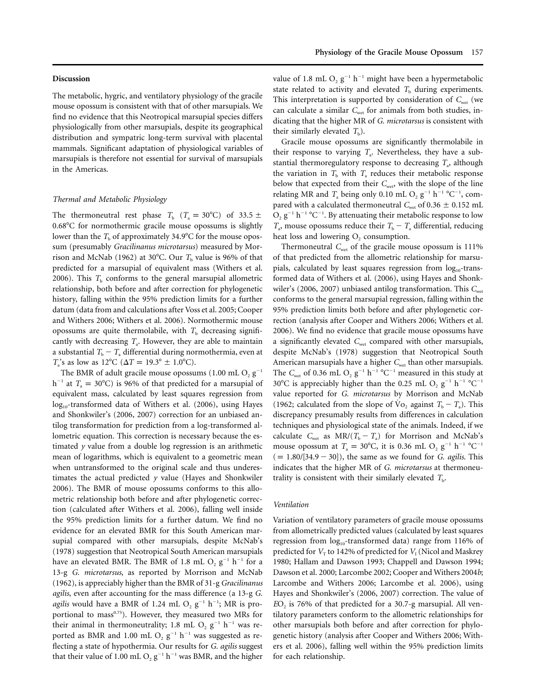#### **Discussion**

The metabolic, hygric, and ventilatory physiology of the gracile mouse opossum is consistent with that of other marsupials. We find no evidence that this Neotropical marsupial species differs physiologically from other marsupials, despite its geographical distribution and sympatric long-term survival with placental mammals. Significant adaptation of physiological variables of marsupials is therefore not essential for survival of marsupials in the Americas.

#### *Thermal and Metabolic Physiology*

The thermoneutral rest phase  $T_b$  ( $T_a = 30^{\circ}$ C) of 33.5  $\pm$ 0.68°C for normothermic gracile mouse opossums is slightly lower than the  $T_\mathrm{b}$  of approximately 34.9 $^\circ$ C for the mouse opossum (presumably *Gracilinanus microtarsus*) measured by Morrison and McNab (1962) at 30°C. Our  $T<sub>b</sub>$  value is 96% of that predicted for a marsupial of equivalent mass (Withers et al. 2006). This  $T<sub>b</sub>$  conforms to the general marsupial allometric relationship, both before and after correction for phylogenetic history, falling within the 95% prediction limits for a further datum (data from and calculations after Voss et al. 2005; Cooper and Withers 2006; Withers et al. 2006). Normothermic mouse opossums are quite thermolabile, with  $T<sub>b</sub>$  decreasing significantly with decreasing  $T_a$ . However, they are able to maintain a substantial  $T_b - T_a$  differential during normothermia, even at  $T_a$ 's as low as 12°C ( $\Delta T = 19.3$ ° ± 1.0°C).

The BMR of adult gracile mouse opossums  $(1.00 \text{ mL O}, g^{-1})$  $h^{-1}$  at  $T_a = 30^{\circ}$ C) is 96% of that predicted for a marsupial of equivalent mass, calculated by least squares regression from  $log<sub>10</sub>$ -transformed data of Withers et al. (2006), using Hayes and Shonkwiler's (2006, 2007) correction for an unbiased antilog transformation for prediction from a log-transformed allometric equation. This correction is necessary because the estimated *y* value from a double log regression is an arithmetic mean of logarithms, which is equivalent to a geometric mean when untransformed to the original scale and thus underestimates the actual predicted *y* value (Hayes and Shonkwiler 2006). The BMR of mouse opossums conforms to this allometric relationship both before and after phylogenetic correction (calculated after Withers et al. 2006), falling well inside the 95% prediction limits for a further datum. We find no evidence for an elevated BMR for this South American marsupial compared with other marsupials, despite McNab's (1978) suggestion that Neotropical South American marsupials have an elevated BMR. The BMR of 1.8 mL  $O_2$   $g^{-1}$  h<sup>-1</sup> for a 13-g *G. microtarsus*, as reported by Morrison and McNab (1962), is appreciably higher than the BMR of 31-g *Gracilinanus agilis*, even after accounting for the mass difference (a 13-g *G. agilis* would have a BMR of 1.24 mL  $O_2$   $g^{-1}$   $h^{-1}$ ; MR is proportional to mass<sup>0.75</sup>). However, they measured two MRs for their animal in thermoneutrality; 1.8 mL  $O_2$  g<sup>-1</sup> h<sup>-1</sup> was reported as BMR and 1.00 mL  $O_2$   $g^{-1}$  h<sup>-1</sup> was suggested as reflecting a state of hypothermia. Our results for *G. agilis* suggest that their value of 1.00 mL  $O_2$   $g^{-1}$  h<sup>-1</sup> was BMR, and the higher

value of 1.8 mL  $O_2$   $g^{-1}$  h<sup>-1</sup> might have been a hypermetabolic state related to activity and elevated  $T<sub>b</sub>$  during experiments. This interpretation is supported by consideration of  $C_{\text{wet}}$  (we can calculate a similar  $C_{\text{wet}}$  for animals from both studies, indicating that the higher MR of *G. microtarsus* is consistent with their similarly elevated  $T<sub>b</sub>$ ).

Gracile mouse opossums are significantly thermolabile in their response to varying  $T_a$ . Nevertheless, they have a substantial thermoregulatory response to decreasing  $T_a$ , although the variation in  $T<sub>b</sub>$  with  $T<sub>a</sub>$  reduces their metabolic response below that expected from their  $C_{\text{wet}}$ , with the slope of the line relating MR and  $T_a$  being only 0.10 mL O<sub>2</sub> g<sup>-1</sup> h<sup>-1</sup> °C<sup>-1</sup>, compared with a calculated thermoneutral  $C_{\text{wet}}$  of 0.36  $\pm$  0.152 mL  $O_2$   $g^{-1}$   $h^{-1}$   $^{\circ}C^{-1}$ . By attenuating their metabolic response to low  $T_a$ , mouse opossums reduce their  $T_b - T_a$  differential, reducing heat loss and lowering  $O<sub>2</sub>$  consumption.

Thermoneutral  $C_{\text{wet}}$  of the gracile mouse opossum is 111% of that predicted from the allometric relationship for marsupials, calculated by least squares regression from  $log_{10}$ -transformed data of Withers et al. (2006), using Hayes and Shonkwiler's (2006, 2007) unbiased antilog transformation. This C<sub>wet</sub> conforms to the general marsupial regression, falling within the 95% prediction limits both before and after phylogenetic correction (analysis after Cooper and Withers 2006; Withers et al. 2006). We find no evidence that gracile mouse opossums have a significantly elevated *C*<sub>wet</sub> compared with other marsupials, despite McNab's (1978) suggestion that Neotropical South American marsupials have a higher *C*<sub>wet</sub> than other marsupials. The  $C_{\text{wet}}$  of 0.36 mL  $O_2$   $g^{-1}$   $h^{-1}$  °C<sup>-1</sup> measured in this study at 30°C is appreciably higher than the 0.25 mL O<sub>2</sub> g<sup>-1</sup> h<sup>-1</sup> °C<sup>-1</sup> value reported for *G. microtarsus* by Morrison and McNab (1962; calculated from the slope of  $\dot{V}$ <sub>2</sub> against  $T_b - T_a$ ). This discrepancy presumably results from differences in calculation techniques and physiological state of the animals. Indeed, if we calculate  $C_{\text{wet}}$  as  $MR/(T_b - T_a)$  for Morrison and McNab's mouse opossum at  $T_a = 30^{\circ}$ C, it is 0.36 mL O<sub>2</sub> g<sup>-1</sup> h<sup>-1</sup>  $^{\circ}$ C<sup>-1</sup>  $( = 1.80/[34.9 - 30])$ , the same as we found for *G. agilis*. This indicates that the higher MR of *G. microtarsus* at thermoneutrality is consistent with their similarly elevated  $T<sub>b</sub>$ .

#### *Ventilation*

Variation of ventilatory parameters of gracile mouse opossums from allometrically predicted values (calculated by least squares regression from log<sub>10</sub>-transformed data) range from 116% of predicted for  $V_T$  to 142% of predicted for  $V_I$  (Nicol and Maskrey 1980; Hallam and Dawson 1993; Chappell and Dawson 1994; Dawson et al. 2000; Larcombe 2002; Cooper and Withers 2004*b*; Larcombe and Withers 2006; Larcombe et al. 2006), using Hayes and Shonkwiler's (2006, 2007) correction. The value of *E*O<sub>2</sub> is 76% of that predicted for a 30.7-g marsupial. All ventilatory parameters conform to the allometric relationships for other marsupials both before and after correction for phylogenetic history (analysis after Cooper and Withers 2006; Withers et al. 2006), falling well within the 95% prediction limits for each relationship.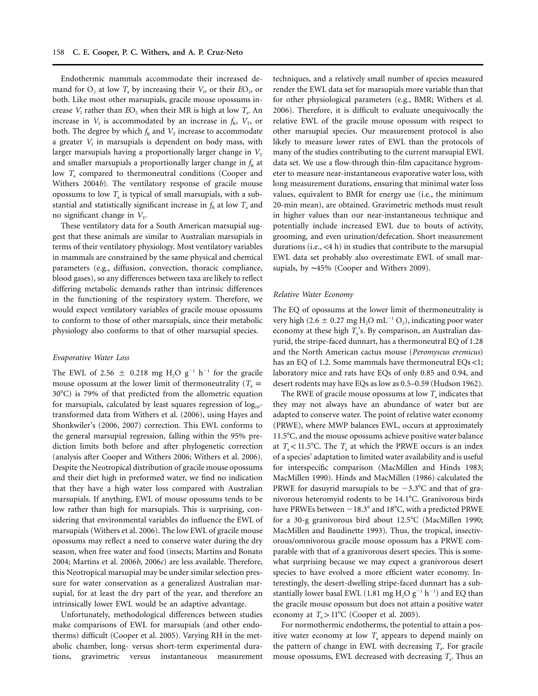Endothermic mammals accommodate their increased demand for  $O_2$  at low  $T_a$  by increasing their  $V_1$ , or their  $EO_2$ , or both. Like most other marsupials, gracile mouse opossums increase  $V_1$  rather than  $EO_2$  when their MR is high at low  $T_a$ . An increase in  $V_1$  is accommodated by an increase in  $f_R$ ,  $V_T$ , or both. The degree by which  $f_R$  and  $V_T$  increase to accommodate a greater  $V<sub>I</sub>$  in marsupials is dependent on body mass, with larger marsupials having a proportionally larger change in  $V<sub>T</sub>$ and smaller marsupials a proportionally larger change in  $f<sub>R</sub>$  at low *T<sub>a</sub>* compared to thermoneutral conditions (Cooper and Withers 2004*b*). The ventilatory response of gracile mouse opossums to low  $T_a$  is typical of small marsupials, with a substantial and statistically significant increase in  $f_R$  at low  $T_a$  and no significant change in  $V<sub>T</sub>$ .

These ventilatory data for a South American marsupial suggest that these animals are similar to Australian marsupials in terms of their ventilatory physiology. Most ventilatory variables in mammals are constrained by the same physical and chemical parameters (e.g., diffusion, convection, thoracic compliance, blood gases), so any differences between taxa are likely to reflect differing metabolic demands rather than intrinsic differences in the functioning of the respiratory system. Therefore, we would expect ventilatory variables of gracile mouse opossums to conform to those of other marsupials, since their metabolic physiology also conforms to that of other marsupial species.

## *Evaporative Water Loss*

The EWL of 2.56  $\pm$  0.218 mg H<sub>2</sub>O g<sup>-1</sup> h<sup>-1</sup> for the gracile mouse opossum at the lower limit of thermoneutrality ( $T_a$  = 30°C) is 79% of that predicted from the allometric equation for marsupials, calculated by least squares regression of  $log_{10}$ transformed data from Withers et al. (2006), using Hayes and Shonkwiler's (2006, 2007) correction. This EWL conforms to the general marsupial regression, falling within the 95% prediction limits both before and after phylogenetic correction (analysis after Cooper and Withers 2006; Withers et al. 2006). Despite the Neotropical distribution of gracile mouse opossums and their diet high in preformed water, we find no indication that they have a high water loss compared with Australian marsupials. If anything, EWL of mouse opossums tends to be low rather than high for marsupials. This is surprising, considering that environmental variables do influence the EWL of marsupials (Withers et al. 2006). The low EWL of gracile mouse opossums may reflect a need to conserve water during the dry season, when free water and food (insects; Martins and Bonato 2004; Martins et al. 2006*b*, 2006*c*) are less available. Therefore, this Neotropical marsupial may be under similar selection pressure for water conservation as a generalized Australian marsupial, for at least the dry part of the year, and therefore an intrinsically lower EWL would be an adaptive advantage.

Unfortunately, methodological differences between studies make comparisons of EWL for marsupials (and other endotherms) difficult (Cooper et al. 2005). Varying RH in the metabolic chamber, long- versus short-term experimental durations, gravimetric versus instantaneous measurement techniques, and a relatively small number of species measured render the EWL data set for marsupials more variable than that for other physiological parameters (e.g., BMR; Withers et al. 2006). Therefore, it is difficult to evaluate unequivocally the relative EWL of the gracile mouse opossum with respect to other marsupial species. Our measurement protocol is also likely to measure lower rates of EWL than the protocols of many of the studies contributing to the current marsupial EWL data set. We use a flow-through thin-film capacitance hygrometer to measure near-instantaneous evaporative water loss, with long measurement durations, ensuring that minimal water loss values, equivalent to BMR for energy use (i.e., the minimum 20-min mean), are obtained. Gravimetric methods must result in higher values than our near-instantaneous technique and potentially include increased EWL due to bouts of activity, grooming, and even urination/defecation. Short measurement durations (i.e., <4 h) in studies that contribute to the marsupial EWL data set probably also overestimate EWL of small marsupials, by ∼45% (Cooper and Withers 2009).

## *Relative Water Economy*

The EQ of opossums at the lower limit of thermoneutrality is very high (2.6  $\pm$  0.27 mg H<sub>2</sub>O mL<sup>-1</sup> O<sub>2</sub>), indicating poor water economy at these high  $T_a$ 's. By comparison, an Australian dasyurid, the stripe-faced dunnart, has a thermoneutral EQ of 1.28 and the North American cactus mouse (*Peromyscus eremicus*) has an EQ of 1.2. Some mammals have thermoneutral EQs <1; laboratory mice and rats have EQs of only 0.85 and 0.94, and desert rodents may have EQs as low as 0.5–0.59 (Hudson 1962).

The RWE of gracile mouse opossums at low T<sub>a</sub> indicates that they may not always have an abundance of water but are adapted to conserve water. The point of relative water economy (PRWE), where MWP balances EWL, occurs at approximately 11.5°C, and the mouse opossums achieve positive water balance at  $T_a < 11.5$ °C. The  $T_a$  at which the PRWE occurs is an index of a species' adaptation to limited water availability and is useful for interspecific comparison (MacMillen and Hinds 1983; MacMillen 1990). Hinds and MacMillen (1986) calculated the PRWE for dasuyrid marsupials to be  $-3.3$ °C and that of granivorous heteromyid rodents to be 14.1°C. Granivorous birds have PRWEs between  $-18.3^{\circ}$  and  $18^{\circ}$ C, with a predicted PRWE for a 30-g granivorous bird about 12.5°C (MacMillen 1990; MacMillen and Baudinette 1993). Thus, the tropical, insectivorous/omnivorous gracile mouse opossum has a PRWE comparable with that of a granivorous desert species. This is somewhat surprising because we may expect a granivorous desert species to have evolved a more efficient water economy. Interestingly, the desert-dwelling stripe-faced dunnart has a substantially lower basal EWL (1.81 mg  $H_2O g^{-1} h^{-1}$ ) and EQ than the gracile mouse opossum but does not attain a positive water economy at  $T_a > 11^{\circ}$ C (Cooper et al. 2005).

For normothermic endotherms, the potential to attain a positive water economy at low  $T_a$  appears to depend mainly on the pattern of change in EWL with decreasing  $T_a$ . For gracile mouse opossums, EWL decreased with decreasing  $T_a$ . Thus an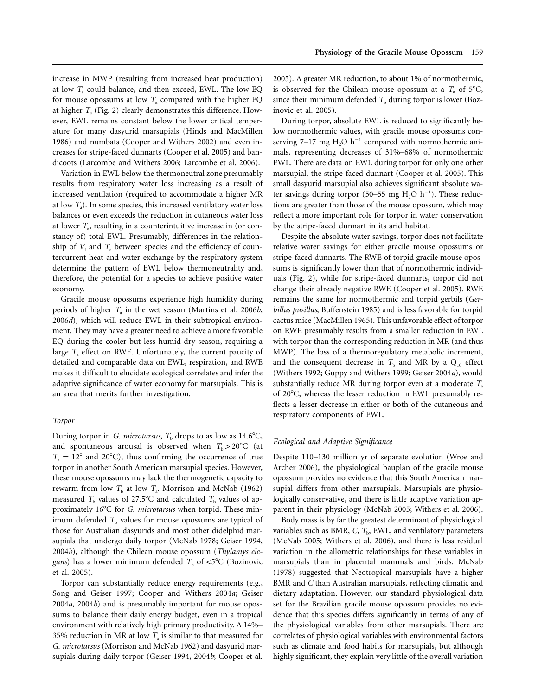increase in MWP (resulting from increased heat production) at low  $T_a$  could balance, and then exceed, EWL. The low EQ for mouse opossums at low  $T_a$  compared with the higher EQ at higher  $T_a$  (Fig. 2) clearly demonstrates this difference. However, EWL remains constant below the lower critical temperature for many dasyurid marsupials (Hinds and MacMillen 1986) and numbats (Cooper and Withers 2002) and even increases for stripe-faced dunnarts (Cooper et al. 2005) and bandicoots (Larcombe and Withers 2006; Larcombe et al. 2006).

Variation in EWL below the thermoneutral zone presumably results from respiratory water loss increasing as a result of increased ventilation (required to accommodate a higher MR at low  $T_a$ ). In some species, this increased ventilatory water loss balances or even exceeds the reduction in cutaneous water loss at lower  $T_a$ , resulting in a counterintuitive increase in (or constancy of) total EWL. Presumably, differences in the relationship of  $V<sub>I</sub>$  and  $T<sub>a</sub>$  between species and the efficiency of countercurrent heat and water exchange by the respiratory system determine the pattern of EWL below thermoneutrality and, therefore, the potential for a species to achieve positive water economy.

Gracile mouse opossums experience high humidity during periods of higher  $T_a$  in the wet season (Martins et al. 2006*b*, 2006*d*), which will reduce EWL in their subtropical environment. They may have a greater need to achieve a more favorable EQ during the cooler but less humid dry season, requiring a large  $T_a$  effect on RWE. Unfortunately, the current paucity of detailed and comparable data on EWL, respiration, and RWE makes it difficult to elucidate ecological correlates and infer the adaptive significance of water economy for marsupials. This is an area that merits further investigation.

# *Torpor*

During torpor in *G. microtarsus*, T<sub>b</sub> drops to as low as 14.6°C, and spontaneous arousal is observed when  $T_b > 20^{\circ}$ C (at  $T_a = 12^{\circ}$  and 20°C), thus confirming the occurrence of true torpor in another South American marsupial species. However, these mouse opossums may lack the thermogenetic capacity to rewarm from low  $T<sub>b</sub>$  at low  $T<sub>a</sub>$ . Morrison and McNab (1962) measured  $T<sub>b</sub>$  values of 27.5°C and calculated  $T<sub>b</sub>$  values of approximately 16°C for *G. microtarsus* when torpid. These minimum defended  $T<sub>b</sub>$  values for mouse opossums are typical of those for Australian dasyurids and most other didelphid marsupials that undergo daily torpor (McNab 1978; Geiser 1994, 2004*b*), although the Chilean mouse opossum (*Thylamys elegans*) has a lower minimum defended  $T<sub>b</sub>$  of  $\lt 5^{\circ}C$  (Bozinovic et al. 2005).

Torpor can substantially reduce energy requirements (e.g., Song and Geiser 1997; Cooper and Withers 2004*a*; Geiser 2004*a*, 2004*b*) and is presumably important for mouse opossums to balance their daily energy budget, even in a tropical environment with relatively high primary productivity. A 14%– 35% reduction in MR at low  $T_a$  is similar to that measured for *G. microtarsus* (Morrison and McNab 1962) and dasyurid marsupials during daily torpor (Geiser 1994, 2004*b*; Cooper et al. 2005). A greater MR reduction, to about 1% of normothermic, is observed for the Chilean mouse opossum at a  $T_a$  of 5°C, since their minimum defended  $T<sub>b</sub>$  during torpor is lower (Bozinovic et al. 2005).

During torpor, absolute EWL is reduced to significantly below normothermic values, with gracile mouse opossums conserving 7–17 mg  $H_2O$  h<sup>-1</sup> compared with normothermic animals, representing decreases of 31%–68% of normothermic EWL. There are data on EWL during torpor for only one other marsupial, the stripe-faced dunnart (Cooper et al. 2005). This small dasyurid marsupial also achieves significant absolute water savings during torpor (50–55 mg  $H_2O$   $h^{-1}$ ). These reductions are greater than those of the mouse opossum, which may reflect a more important role for torpor in water conservation by the stripe-faced dunnart in its arid habitat.

Despite the absolute water savings, torpor does not facilitate relative water savings for either gracile mouse opossums or stripe-faced dunnarts. The RWE of torpid gracile mouse opossums is significantly lower than that of normothermic individuals (Fig. 2), while for stripe-faced dunnarts, torpor did not change their already negative RWE (Cooper et al. 2005). RWE remains the same for normothermic and torpid gerbils (*Gerbillus pusillus*; Buffenstein 1985) and is less favorable for torpid cactus mice (MacMillen 1965). This unfavorable effect of torpor on RWE presumably results from a smaller reduction in EWL with torpor than the corresponding reduction in MR (and thus MWP). The loss of a thermoregulatory metabolic increment, and the consequent decrease in  $T<sub>b</sub>$  and MR by a  $Q<sub>10</sub>$  effect (Withers 1992; Guppy and Withers 1999; Geiser 2004*a*), would substantially reduce MR during torpor even at a moderate  $T_a$ of 20°C, whereas the lesser reduction in EWL presumably reflects a lesser decrease in either or both of the cutaneous and respiratory components of EWL.

#### *Ecological and Adaptive Significance*

Despite 110–130 million yr of separate evolution (Wroe and Archer 2006), the physiological bauplan of the gracile mouse opossum provides no evidence that this South American marsupial differs from other marsupials. Marsupials are physiologically conservative, and there is little adaptive variation apparent in their physiology (McNab 2005; Withers et al. 2006).

Body mass is by far the greatest determinant of physiological variables such as BMR,  $C$ ,  $T<sub>b</sub>$ , EWL, and ventilatory parameters (McNab 2005; Withers et al. 2006), and there is less residual variation in the allometric relationships for these variables in marsupials than in placental mammals and birds. McNab (1978) suggested that Neotropical marsupials have a higher BMR and *C* than Australian marsupials, reflecting climatic and dietary adaptation. However, our standard physiological data set for the Brazilian gracile mouse opossum provides no evidence that this species differs significantly in terms of any of the physiological variables from other marsupials. There are correlates of physiological variables with environmental factors such as climate and food habits for marsupials, but although highly significant, they explain very little of the overall variation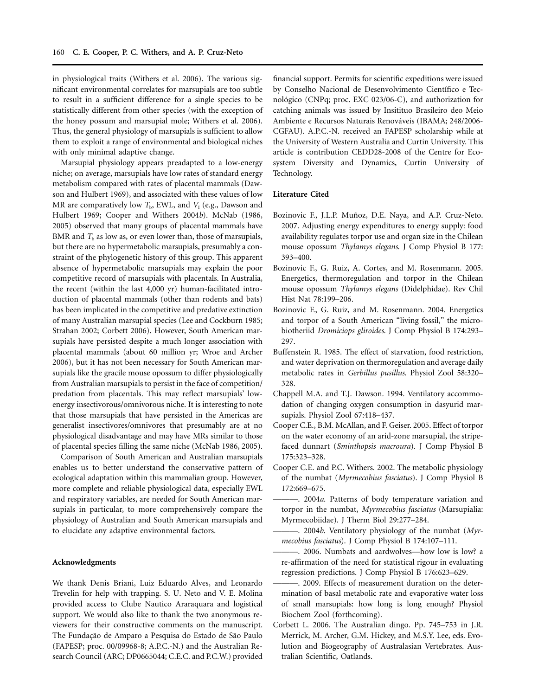in physiological traits (Withers et al. 2006). The various significant environmental correlates for marsupials are too subtle to result in a sufficient difference for a single species to be statistically different from other species (with the exception of the honey possum and marsupial mole; Withers et al. 2006). Thus, the general physiology of marsupials is sufficient to allow them to exploit a range of environmental and biological niches with only minimal adaptive change.

Marsupial physiology appears preadapted to a low-energy niche; on average, marsupials have low rates of standard energy metabolism compared with rates of placental mammals (Dawson and Hulbert 1969), and associated with these values of low MR are comparatively low  $T<sub>b</sub>$ , EWL, and  $V<sub>I</sub>$  (e.g., Dawson and Hulbert 1969; Cooper and Withers 2004*b*). McNab (1986, 2005) observed that many groups of placental mammals have BMR and  $T<sub>b</sub>$  as low as, or even lower than, those of marsupials, but there are no hypermetabolic marsupials, presumably a constraint of the phylogenetic history of this group. This apparent absence of hypermetabolic marsupials may explain the poor competitive record of marsupials with placentals. In Australia, the recent (within the last 4,000 yr) human-facilitated introduction of placental mammals (other than rodents and bats) has been implicated in the competitive and predative extinction of many Australian marsupial species (Lee and Cockburn 1985; Strahan 2002; Corbett 2006). However, South American marsupials have persisted despite a much longer association with placental mammals (about 60 million yr; Wroe and Archer 2006), but it has not been necessary for South American marsupials like the gracile mouse opossum to differ physiologically from Australian marsupials to persist in the face of competition/ predation from placentals. This may reflect marsupials' lowenergy insectivorous/omnivorous niche. It is interesting to note that those marsupials that have persisted in the Americas are generalist insectivores/omnivores that presumably are at no physiological disadvantage and may have MRs similar to those of placental species filling the same niche (McNab 1986, 2005).

Comparison of South American and Australian marsupials enables us to better understand the conservative pattern of ecological adaptation within this mammalian group. However, more complete and reliable physiological data, especially EWL and respiratory variables, are needed for South American marsupials in particular, to more comprehensively compare the physiology of Australian and South American marsupials and to elucidate any adaptive environmental factors.

#### **Acknowledgments**

We thank Denis Briani, Luiz Eduardo Alves, and Leonardo Trevelin for help with trapping. S. U. Neto and V. E. Molina provided access to Clube Nautico Araraquara and logistical support. We would also like to thank the two anonymous reviewers for their constructive comments on the manuscript. The Fundação de Amparo a Pesquisa do Estado de São Paulo (FAPESP; proc. 00/09968-8; A.P.C.-N.) and the Australian Research Council (ARC; DP0665044; C.E.C. and P.C.W.) provided financial support. Permits for scientific expeditions were issued by Conselho Nacional de Desenvolvimento Científico e Tecnológico (CNPq; proc. EXC 023/06-C), and authorization for catching animals was issued by Insitituo Brasileiro deo Meio Ambiente e Recursos Naturais Renováveis (IBAMA; 248/2006-CGFAU). A.P.C.-N. received an FAPESP scholarship while at the University of Western Australia and Curtin University. This article is contribution CEDD28-2008 of the Centre for Ecosystem Diversity and Dynamics, Curtin University of Technology.

#### **Literature Cited**

- Bozinovic F., J.L.P. Muñoz, D.E. Naya, and A.P. Cruz-Neto. 2007. Adjusting energy expenditures to energy supply: food availability regulates torpor use and organ size in the Chilean mouse opossum *Thylamys elegans*. J Comp Physiol B 177: 393–400.
- Bozinovic F., G. Ruiz, A. Cortes, and M. Rosenmann. 2005. Energetics, thermoregulation and torpor in the Chilean mouse opossum *Thylamys elegans* (Didelphidae). Rev Chil Hist Nat 78:199–206.
- Bozinovic F., G. Ruiz, and M. Rosenmann. 2004. Energetics and torpor of a South American "living fossil," the microbiotheriid *Dromiciops gliroides*. J Comp Physiol B 174:293– 297.
- Buffenstein R. 1985. The effect of starvation, food restriction, and water deprivation on thermoregulation and average daily metabolic rates in *Gerbillus pusillus*. Physiol Zool 58:320– 328.
- Chappell M.A. and T.J. Dawson. 1994. Ventilatory accommodation of changing oxygen consumption in dasyurid marsupials. Physiol Zool 67:418–437.
- Cooper C.E., B.M. McAllan, and F. Geiser. 2005. Effect of torpor on the water economy of an arid-zone marsupial, the stripefaced dunnart (*Sminthopsis macroura*). J Comp Physiol B 175:323–328.
- Cooper C.E. and P.C. Withers. 2002. The metabolic physiology of the numbat (*Myrmecobius fasciatus*). J Comp Physiol B 172:669–675.
- ———. 2004*a*. Patterns of body temperature variation and torpor in the numbat, *Myrmecobius fasciatus* (Marsupialia: Myrmecobiidae). J Therm Biol 29:277–284.
- ———. 2004*b*. Ventilatory physiology of the numbat (*Myrmecobius fasciatus*). J Comp Physiol B 174:107–111.
- ———. 2006. Numbats and aardwolves—how low is low? a re-affirmation of the need for statistical rigour in evaluating regression predictions. J Comp Physiol B 176:623–629.
- -. 2009. Effects of measurement duration on the determination of basal metabolic rate and evaporative water loss of small marsupials: how long is long enough? Physiol Biochem Zool (forthcoming).
- Corbett L. 2006. The Australian dingo. Pp. 745–753 in J.R. Merrick, M. Archer, G.M. Hickey, and M.S.Y. Lee, eds. Evolution and Biogeography of Australasian Vertebrates. Australian Scientific, Oatlands.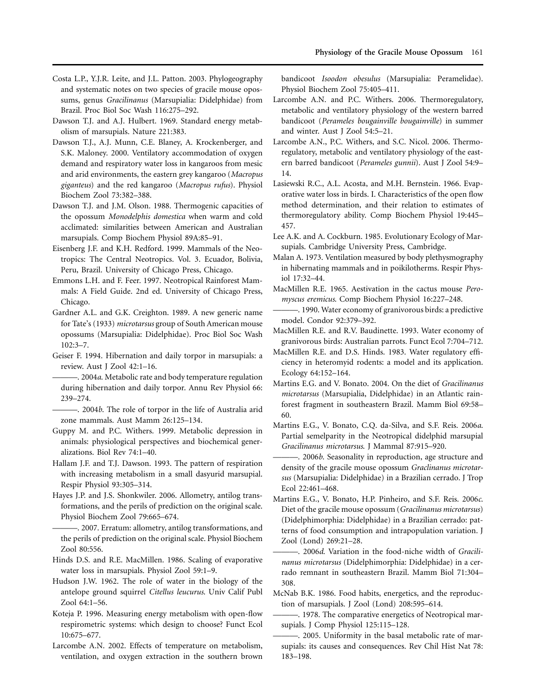- Costa L.P., Y.J.R. Leite, and J.L. Patton. 2003. Phylogeography and systematic notes on two species of gracile mouse opossums, genus *Gracilinanus* (Marsupialia: Didelphidae) from Brazil. Proc Biol Soc Wash 116:275–292.
- Dawson T.J. and A.J. Hulbert. 1969. Standard energy metabolism of marsupials. Nature 221:383.
- Dawson T.J., A.J. Munn, C.E. Blaney, A. Krockenberger, and S.K. Maloney. 2000. Ventilatory accommodation of oxygen demand and respiratory water loss in kangaroos from mesic and arid environments, the eastern grey kangaroo (*Macropus giganteus*) and the red kangaroo (*Macropus rufus*). Physiol Biochem Zool 73:382–388.
- Dawson T.J. and J.M. Olson. 1988. Thermogenic capacities of the opossum *Monodelphis domestica* when warm and cold acclimated: similarities between American and Australian marsupials. Comp Biochem Physiol 89A:85–91.
- Eisenberg J.F. and K.H. Redford. 1999. Mammals of the Neotropics: The Central Neotropics. Vol. 3. Ecuador, Bolivia, Peru, Brazil. University of Chicago Press, Chicago.
- Emmons L.H. and F. Feer. 1997. Neotropical Rainforest Mammals: A Field Guide. 2nd ed. University of Chicago Press, Chicago.
- Gardner A.L. and G.K. Creighton. 1989. A new generic name for Tate's (1933) *microtarsus* group of South American mouse opossums (Marsupialia: Didelphidae). Proc Biol Soc Wash 102:3–7.
- Geiser F. 1994. Hibernation and daily torpor in marsupials: a review. Aust J Zool 42:1–16.
- ———. 2004*a*. Metabolic rate and body temperature regulation during hibernation and daily torpor. Annu Rev Physiol 66: 239–274.
- ———. 2004*b*. The role of torpor in the life of Australia arid zone mammals. Aust Mamm 26:125–134.
- Guppy M. and P.C. Withers. 1999. Metabolic depression in animals: physiological perspectives and biochemical generalizations. Biol Rev 74:1–40.
- Hallam J.F. and T.J. Dawson. 1993. The pattern of respiration with increasing metabolism in a small dasyurid marsupial. Respir Physiol 93:305–314.
- Hayes J.P. and J.S. Shonkwiler. 2006. Allometry, antilog transformations, and the perils of prediction on the original scale. Physiol Biochem Zool 79:665–674.
- ———. 2007. Erratum: allometry, antilog transformations, and the perils of prediction on the original scale. Physiol Biochem Zool 80:556.
- Hinds D.S. and R.E. MacMillen. 1986. Scaling of evaporative water loss in marsupials. Physiol Zool 59:1–9.
- Hudson J.W. 1962. The role of water in the biology of the antelope ground squirrel *Citellus leucurus*. Univ Calif Publ Zool 64:1–56.
- Koteja P. 1996. Measuring energy metabolism with open-flow respirometric systems: which design to choose? Funct Ecol 10:675–677.
- Larcombe A.N. 2002. Effects of temperature on metabolism, ventilation, and oxygen extraction in the southern brown

bandicoot *Isoodon obesulus* (Marsupialia: Peramelidae). Physiol Biochem Zool 75:405–411.

- Larcombe A.N. and P.C. Withers. 2006. Thermoregulatory, metabolic and ventilatory physiology of the western barred bandicoot (*Perameles bougainville bougainville*) in summer and winter. Aust J Zool 54:5–21.
- Larcombe A.N., P.C. Withers, and S.C. Nicol. 2006. Thermoregulatory, metabolic and ventilatory physiology of the eastern barred bandicoot (*Perameles gunnii*). Aust J Zool 54:9– 14.
- Lasiewski R.C., A.L. Acosta, and M.H. Bernstein. 1966. Evaporative water loss in birds. I. Characteristics of the open flow method determination, and their relation to estimates of thermoregulatory ability. Comp Biochem Physiol 19:445– 457.
- Lee A.K. and A. Cockburn. 1985. Evolutionary Ecology of Marsupials. Cambridge University Press, Cambridge.
- Malan A. 1973. Ventilation measured by body plethysmography in hibernating mammals and in poikilotherms. Respir Physiol 17:32–44.
- MacMillen R.E. 1965. Aestivation in the cactus mouse *Peromyscus eremicus*. Comp Biochem Physiol 16:227–248.
- ———. 1990. Water economy of granivorous birds: a predictive model. Condor 92:379–392.
- MacMillen R.E. and R.V. Baudinette. 1993. Water economy of granivorous birds: Australian parrots. Funct Ecol 7:704–712.
- MacMillen R.E. and D.S. Hinds. 1983. Water regulatory efficiency in heteromyid rodents: a model and its application. Ecology 64:152–164.
- Martins E.G. and V. Bonato. 2004. On the diet of *Gracilinanus microtarsus* (Marsupialia, Didelphidae) in an Atlantic rainforest fragment in southeastern Brazil. Mamm Biol 69:58– 60.
- Martins E.G., V. Bonato, C.Q. da-Silva, and S.F. Reis. 2006*a*. Partial semelparity in the Neotropical didelphid marsupial *Gracilinanus microtarsus*. J Mammal 87:915–920.
- ———. 2006*b*. Seasonality in reproduction, age structure and density of the gracile mouse opossum *Graclinanus microtarsus* (Marsupialia: Didelphidae) in a Brazilian cerrado. J Trop Ecol 22:461–468.
- Martins E.G., V. Bonato, H.P. Pinheiro, and S.F. Reis. 2006*c*. Diet of the gracile mouse opossum (*Gracilinanus microtarsus*) (Didelphimorphia: Didelphidae) in a Brazilian cerrado: patterns of food consumption and intrapopulation variation. J Zool (Lond) 269:21–28.
- -. 2006d. Variation in the food-niche width of *Gracilinanus microtarsus* (Didelphimorphia: Didelphidae) in a cerrado remnant in southeastern Brazil. Mamm Biol 71:304– 308.
- McNab B.K. 1986. Food habits, energetics, and the reproduction of marsupials. J Zool (Lond) 208:595–614.
- -. 1978. The comparative energetics of Neotropical marsupials. J Comp Physiol 125:115–128.
- ———. 2005. Uniformity in the basal metabolic rate of marsupials: its causes and consequences. Rev Chil Hist Nat 78: 183–198.